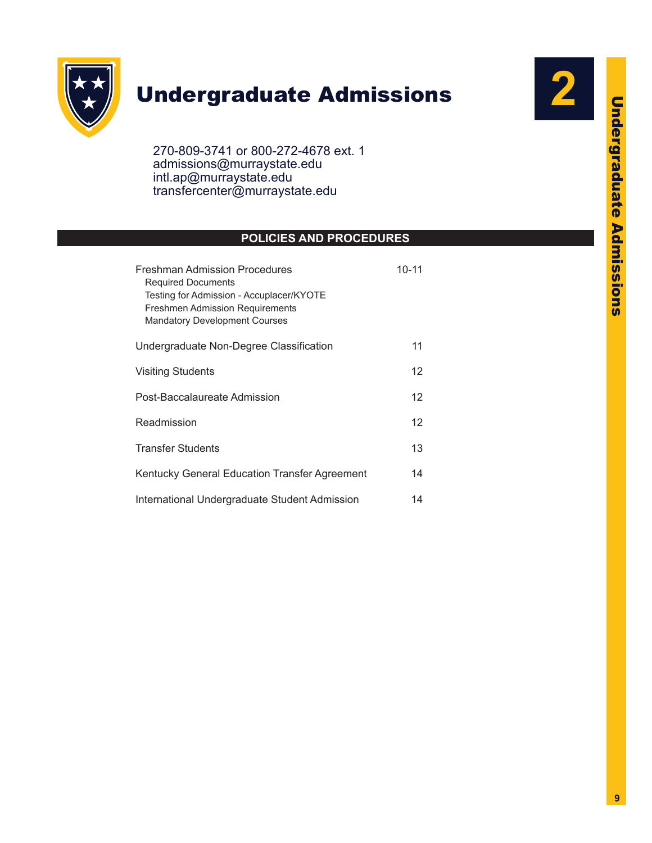

# Undergraduate Admissions

270-809-3741 or 800-272-4678 ext. 1 admissions@murraystate.edu intl.ap@murraystate.edu transfercenter@murraystate.edu

# **POLICIES AND PROCEDURES**

| <b>Freshman Admission Procedures</b><br><b>Required Documents</b><br>Testing for Admission - Accuplacer/KYOTE<br><b>Freshmen Admission Requirements</b><br><b>Mandatory Development Courses</b> | $10 - 11$ |
|-------------------------------------------------------------------------------------------------------------------------------------------------------------------------------------------------|-----------|
| Undergraduate Non-Degree Classification                                                                                                                                                         | 11        |
| <b>Visiting Students</b>                                                                                                                                                                        | 12        |
| Post-Baccalaureate Admission                                                                                                                                                                    |           |
| Readmission                                                                                                                                                                                     |           |
| <b>Transfer Students</b>                                                                                                                                                                        | 13        |
| Kentucky General Education Transfer Agreement                                                                                                                                                   | 14        |
| International Undergraduate Student Admission                                                                                                                                                   |           |

**2**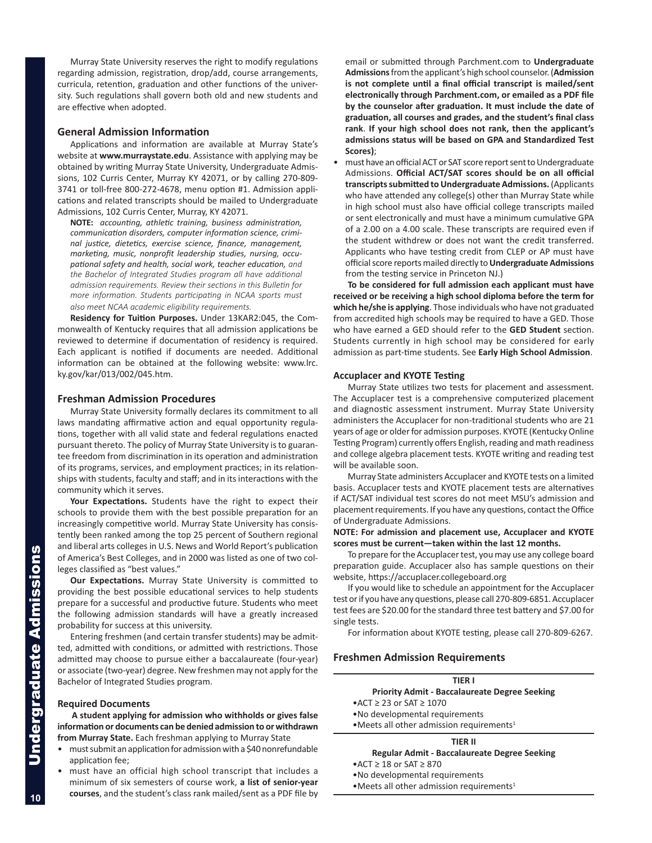Murray State University reserves the right to modify regulations regarding admission, registration, drop/add, course arrangements, curricula, retention, graduation and other functions of the university. Such regulations shall govern both old and new students and are effective when adopted.

## **General Admission Information**

Applications and information are available at Murray State's website at **www.murraystate.edu**. Assistance with applying may be obtained by writing Murray State University, Undergraduate Admissions, 102 Curris Center, Murray KY 42071, or by calling 270-809- 3741 or toll-free 800-272-4678, menu option #1. Admission applications and related transcripts should be mailed to Undergraduate Admissions, 102 Curris Center, Murray, KY 42071.

**NOTE:** *accounting, athletic training, business administration, communication disorders, computer information science, criminal justice, dietetics, exercise science, finance, management, marketing, music, nonprofit leadership studies, nursing, occupational safety and health, social work, teacher education, and the Bachelor of Integrated Studies program all have additional admission requirements. Review their sections in this Bulletin for more information. Students participating in NCAA sports must also meet NCAA academic eligibility requirements.*

**Residency for Tuition Purposes.** Under 13KAR2:045, the Commonwealth of Kentucky requires that all admission applications be reviewed to determine if documentation of residency is required. Each applicant is notified if documents are needed. Additional information can be obtained at the following website: www.lrc. ky.gov/kar/013/002/045.htm.

#### **Freshman Admission Procedures**

Murray State University formally declares its commitment to all laws mandating affirmative action and equal opportunity regulations, together with all valid state and federal regulations enacted pursuant thereto. The policy of Murray State University is to guarantee freedom from discrimination in its operation and administration of its programs, services, and employment practices; in its relationships with students, faculty and staff; and in its interactions with the community which it serves.

**Your Expectations.** Students have the right to expect their schools to provide them with the best possible preparation for an increasingly competitive world. Murray State University has consistently been ranked among the top 25 percent of Southern regional and liberal arts colleges in U.S. News and World Report's publication of America's Best Colleges, and in 2000 was listed as one of two colleges classified as "best values."

**Our Expectations.** Murray State University is committed to providing the best possible educational services to help students prepare for a successful and productive future. Students who meet the following admission standards will have a greatly increased probability for success at this university.

Entering freshmen (and certain transfer students) may be admitted, admitted with conditions, or admitted with restrictions. Those admitted may choose to pursue either a baccalaureate (four-year) or associate (two-year) degree. New freshmen may not apply for the Bachelor of Integrated Studies program.

#### **Required Documents**

**A student applying for admission who withholds or gives false information or documents can be denied admission to or withdrawn from Murray State.** Each freshman applying to Murray State

- must submit an application for admission with a \$40 nonrefundable application fee;
- must have an official high school transcript that includes a minimum of six semesters of course work, **a list of senior-year courses**, and the student's class rank mailed/sent as a PDF file by

email or submitted through Parchment.com to **Undergraduate Admissions** from the applicant's high school counselor. (**Admission is not complete until a final official transcript is mailed/sent electronically through Parchment.com, or emailed as a PDF file by the counselor after graduation. It must include the date of graduation, all courses and grades, and the student's final class rank**. **If your high school does not rank, then the applicant's admissions status will be based on GPA and Standardized Test Scores)**;

• must have an official ACT or SAT score report sent to Undergraduate Admissions. **Official ACT/SAT scores should be on all official transcripts submitted to Undergraduate Admissions.** (Applicants who have attended any college(s) other than Murray State while in high school must also have official college transcripts mailed or sent electronically and must have a minimum cumulative GPA of a 2.00 on a 4.00 scale. These transcripts are required even if the student withdrew or does not want the credit transferred. Applicants who have testing credit from CLEP or AP must have official score reports mailed directly to **Undergraduate Admissions** from the testing service in Princeton NJ.)

**To be considered for full admission each applicant must have received or be receiving a high school diploma before the term for which he/she is applying**. Those individuals who have not graduated from accredited high schools may be required to have a GED. Those who have earned a GED should refer to the **GED Student** section. Students currently in high school may be considered for early admission as part-time students. See **Early High School Admission**.

#### **Accuplacer and KYOTE Testing**

Murray State utilizes two tests for placement and assessment. The Accuplacer test is a comprehensive computerized placement and diagnostic assessment instrument. Murray State University administers the Accuplacer for non-traditional students who are 21 years of age or older for admission purposes. KYOTE (Kentucky Online Testing Program) currently offers English, reading and math readiness and college algebra placement tests. KYOTE writing and reading test will be available soon.

Murray State administers Accuplacer and KYOTE tests on a limited basis. Accuplacer tests and KYOTE placement tests are alternatives if ACT/SAT individual test scores do not meet MSU's admission and placement requirements. If you have any questions, contact the Office of Undergraduate Admissions.

#### **NOTE: For admission and placement use, Accuplacer and KYOTE scores must be current—taken within the last 12 months.**

To prepare for the Accuplacer test, you may use any college board preparation guide. Accuplacer also has sample questions on their website, https://accuplacer.collegeboard.org

If you would like to schedule an appointment for the Accuplacer test or if you have any questions, please call 270-809-6851. Accuplacer test fees are \$20.00 for the standard three test battery and \$7.00 for single tests.

For information about KYOTE testing, please call 270-809-6267.

### **Freshmen Admission Requirements**

# **TIER I**

# **Priority Admit - Baccalaureate Degree Seeking**

•ACT ≥ 23 or SAT ≥ 1070

- •No developmental requirements
- $\bullet$  Meets all other admission requirements<sup>1</sup>

# **TIER II**

- **Regular Admit Baccalaureate Degree Seeking**
- •ACT ≥ 18 or SAT ≥ 870
- •No developmental requirements
- •Meets all other admission requirements<sup>1</sup>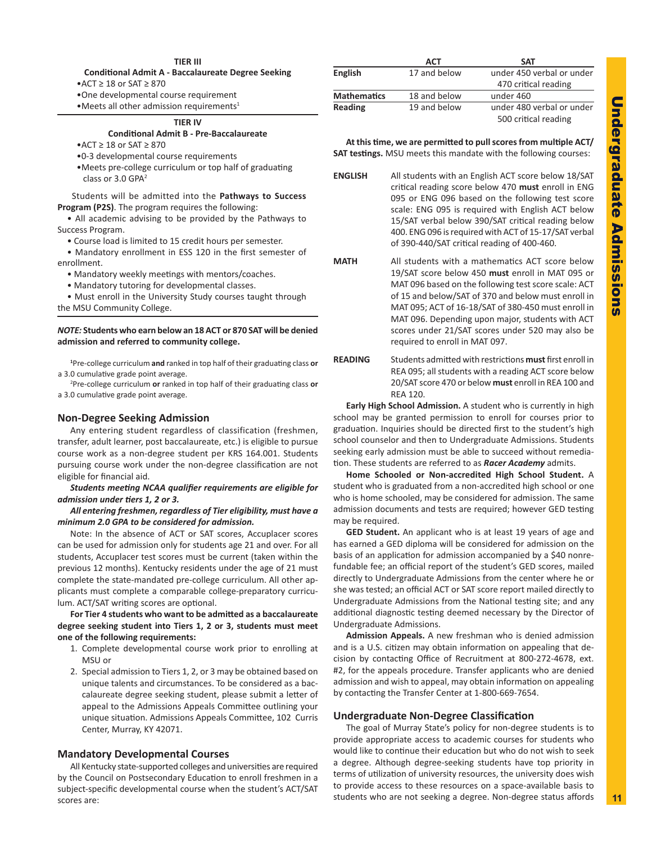#### **TIER III**

**Conditional Admit A - Baccalaureate Degree Seeking**

•ACT ≥ 18 or SAT ≥ 870

•One developmental course requirement

•Meets all other admission requirements<sup>1</sup>

### **TIER IV**

# **Conditional Admit B - Pre-Baccalaureate**

- •ACT ≥ 18 or SAT ≥ 870
- •0-3 developmental course requirements
- •Meets pre-college curriculum or top half of graduating class or  $3.0$  GPA<sup>2</sup>

Students will be admitted into the **Pathways to Success Program (P2S)**. The program requires the following:

• All academic advising to be provided by the Pathways to Success Program.

• Course load is limited to 15 credit hours per semester.

• Mandatory enrollment in ESS 120 in the first semester of enrollment.

- Mandatory weekly meetings with mentors/coaches.
- Mandatory tutoring for developmental classes.

• Must enroll in the University Study courses taught through the MSU Community College.

#### *NOTE:* **Students who earn below an 18 ACT or 870 SAT will be denied admission and referred to community college.**

 **1** Pre-college curriculum **and** ranked in top half of their graduating class **or** a 3.0 cumulative grade point average.

 2 Pre-college curriculum **or** ranked in top half of their graduating class **or** a 3.0 cumulative grade point average.

#### **Non-Degree Seeking Admission**

Any entering student regardless of classification (freshmen, transfer, adult learner, post baccalaureate, etc.) is eligible to pursue course work as a non-degree student per KRS 164.001. Students pursuing course work under the non-degree classification are not eligible for financial aid.

*Students meeting NCAA qualifier requirements are eligible for admission under tiers 1, 2 or 3.* 

#### *All entering freshmen, regardless of Tier eligibility, must have a minimum 2.0 GPA to be considered for admission.*

Note: In the absence of ACT or SAT scores, Accuplacer scores can be used for admission only for students age 21 and over. For all students, Accuplacer test scores must be current (taken within the previous 12 months). Kentucky residents under the age of 21 must complete the state-mandated pre-college curriculum. All other applicants must complete a comparable college-preparatory curriculum. ACT/SAT writing scores are optional.

**For Tier 4 students who want to be admitted as a baccalaureate degree seeking student into Tiers 1, 2 or 3, students must meet one of the following requirements:**

- 1. Complete developmental course work prior to enrolling at MSU or
- 2. Special admission to Tiers 1, 2, or 3 may be obtained based on unique talents and circumstances. To be considered as a baccalaureate degree seeking student, please submit a letter of appeal to the Admissions Appeals Committee outlining your unique situation. Admissions Appeals Committee, 102 Curris Center, Murray, KY 42071.

#### **Mandatory Developmental Courses**

All Kentucky state-supported colleges and universities are required by the Council on Postsecondary Education to enroll freshmen in a subject-specific developmental course when the student's ACT/SAT scores are:

|                    | <b>ACT</b>   | <b>SAT</b>                |
|--------------------|--------------|---------------------------|
| <b>English</b>     | 17 and below | under 450 verbal or under |
|                    |              | 470 critical reading      |
| <b>Mathematics</b> | 18 and below | under 460                 |
| Reading            | 19 and below | under 480 verbal or under |
|                    |              | 500 critical reading      |

**At this time, we are permitted to pull scores from multiple ACT/ SAT testings.** MSU meets this mandate with the following courses:

**ENGLISH** All students with an English ACT score below 18/SAT critical reading score below 470 **must** enroll in ENG 095 or ENG 096 based on the following test score scale: ENG 095 is required with English ACT below 15/SAT verbal below 390/SAT critical reading below 400. ENG 096 is required with ACT of 15-17/SAT verbal of 390-440/SAT critical reading of 400-460.

- **MATH** All students with a mathematics ACT score below 19/SAT score below 450 **must** enroll in MAT 095 or MAT 096 based on the following test score scale: ACT of 15 and below/SAT of 370 and below must enroll in MAT 095; ACT of 16-18/SAT of 380-450 must enroll in MAT 096. Depending upon major, students with ACT scores under 21/SAT scores under 520 may also be required to enroll in MAT 097.
- **READING** Students admitted with restrictions **must** first enroll in REA 095; all students with a reading ACT score below 20/SAT score 470 or below **must** enroll in REA 100 and REA 120.

**Early High School Admission.** A student who is currently in high school may be granted permission to enroll for courses prior to graduation. Inquiries should be directed first to the student's high school counselor and then to Undergraduate Admissions. Students seeking early admission must be able to succeed without remediation. These students are referred to as *Racer Academy* admits.

**Home Schooled or Non-accredited High School Student.** A student who is graduated from a non-accredited high school or one who is home schooled, may be considered for admission. The same admission documents and tests are required; however GED testing may be required.

**GED Student.** An applicant who is at least 19 years of age and has earned a GED diploma will be considered for admission on the basis of an application for admission accompanied by a \$40 nonrefundable fee; an official report of the student's GED scores, mailed directly to Undergraduate Admissions from the center where he or she was tested; an official ACT or SAT score report mailed directly to Undergraduate Admissions from the National testing site; and any additional diagnostic testing deemed necessary by the Director of Undergraduate Admissions.

**Admission Appeals.** A new freshman who is denied admission and is a U.S. citizen may obtain information on appealing that decision by contacting Office of Recruitment at 800-272-4678, ext. #2, for the appeals procedure. Transfer applicants who are denied admission and wish to appeal, may obtain information on appealing by contacting the Transfer Center at 1-800-669-7654.

#### **Undergraduate Non-Degree Classification**

The goal of Murray State's policy for non-degree students is to provide appropriate access to academic courses for students who would like to continue their education but who do not wish to seek a degree. Although degree-seeking students have top priority in terms of utilization of university resources, the university does wish to provide access to these resources on a space-available basis to students who are not seeking a degree. Non-degree status affords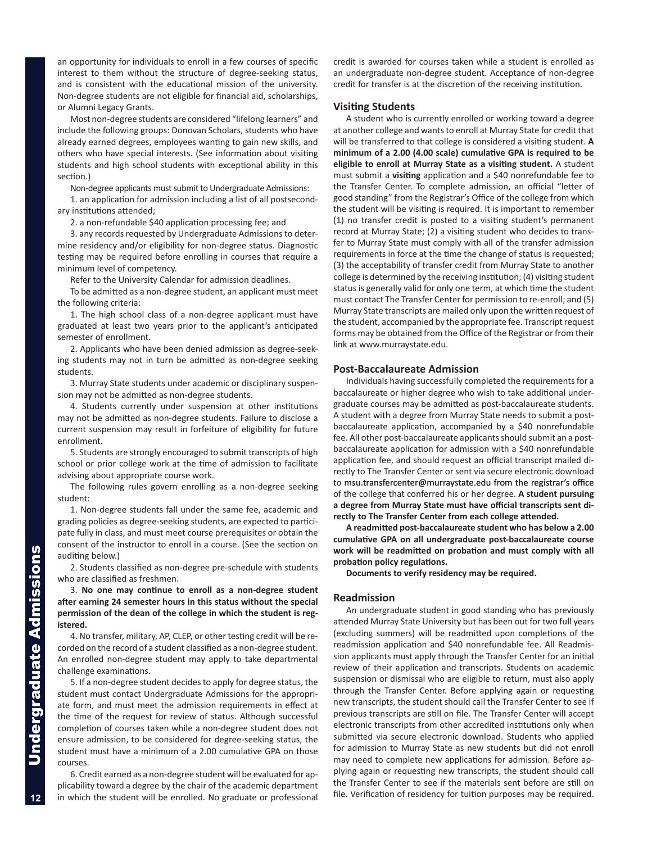an opportunity for individuals to enroll in a few courses of specific interest to them without the structure of degree-seeking status, and is consistent with the educational mission of the university. Non-degree students are not eligible for financial aid, scholarships, or Alumni Legacy Grants.

Most non-degree students are considered "lifelong learners" and include the following groups: Donovan Scholars, students who have already earned degrees, employees wanting to gain new skills, and others who have special interests. (See information about visiting students and high school students with exceptional ability in this section.)

Non-degree applicants must submit to Undergraduate Admissions:

1. an application for admission including a list of all postsecondary institutions attended;

2. a non-refundable \$40 application processing fee; and

3. any records requested by Undergraduate Admissions to determine residency and/or eligibility for non-degree status. Diagnostic testing may be required before enrolling in courses that require a minimum level of competency.

Refer to the University Calendar for admission deadlines.

To be admitted as a non-degree student, an applicant must meet the following criteria:

1. The high school class of a non-degree applicant must have graduated at least two years prior to the applicant's anticipated semester of enrollment.

2. Applicants who have been denied admission as degree-seeking students may not in turn be admitted as non-degree seeking students.

3. Murray State students under academic or disciplinary suspension may not be admitted as non-degree students.

4. Students currently under suspension at other institutions may not be admitted as non-degree students. Failure to disclose a current suspension may result in forfeiture of eligibility for future enrollment.

5. Students are strongly encouraged to submit transcripts of high school or prior college work at the time of admission to facilitate advising about appropriate course work.

The following rules govern enrolling as a non-degree seeking student:

1. Non-degree students fall under the same fee, academic and grading policies as degree-seeking students, are expected to participate fully in class, and must meet course prerequisites or obtain the consent of the instructor to enroll in a course. (See the section on auditing below.)

2. Students classified as non-degree pre-schedule with students who are classified as freshmen.

3. **No one may continue to enroll as a non-degree student after earning 24 semester hours in this status without the special permission of the dean of the college in which the student is registered.**

4. No transfer, military, AP, CLEP, or other testing credit will be recorded on the record of a student classified as a non-degree student. An enrolled non-degree student may apply to take departmental challenge examinations.

5. If a non-degree student decides to apply for degree status, the student must contact Undergraduate Admissions for the appropriate form, and must meet the admission requirements in effect at the time of the request for review of status. Although successful completion of courses taken while a non-degree student does not ensure admission, to be considered for degree-seeking status, the student must have a minimum of a 2.00 cumulative GPA on those courses.

6. Credit earned as a non-degree student will be evaluated for applicability toward a degree by the chair of the academic department in which the student will be enrolled. No graduate or professional

credit is awarded for courses taken while a student is enrolled as an undergraduate non-degree student. Acceptance of non-degree credit for transfer is at the discretion of the receiving institution.

#### **Visiting Students**

A student who is currently enrolled or working toward a degree at another college and wants to enroll at Murray State for credit that will be transferred to that college is considered a visiting student. **A minimum of a 2.00 (4.00 scale) cumulative GPA is required to be eligible to enroll at Murray State as a visiting student.** A student must submit a **visiting** application and a \$40 nonrefundable fee to the Transfer Center. To complete admission, an official "letter of good standing" from the Registrar's Office of the college from which the student will be visiting is required. It is important to remember (1) no transfer credit is posted to a visiting student's permanent record at Murray State; (2) a visiting student who decides to transfer to Murray State must comply with all of the transfer admission requirements in force at the time the change of status is requested; (3) the acceptability of transfer credit from Murray State to another college is determined by the receiving institution; (4) visiting student status is generally valid for only one term, at which time the student must contact The Transfer Center for permission to re-enroll; and (5) Murray State transcripts are mailed only upon the written request of the student, accompanied by the appropriate fee. Transcript request forms may be obtained from the Office of the Registrar or from their link at www.murraystate.edu.

#### **Post-Baccalaureate Admission**

Individuals having successfully completed the requirements for a baccalaureate or higher degree who wish to take additional undergraduate courses may be admitted as post-baccalaureate students. A student with a degree from Murray State needs to submit a postbaccalaureate application, accompanied by a \$40 nonrefundable fee. All other post-baccalaureate applicants should submit an a postbaccalaureate application for admission with a \$40 nonrefundable application fee, and should request an official transcript mailed directly to The Transfer Center or sent via secure electronic download to msu.transfercenter@murraystate.edu from the registrar's office of the college that conferred his or her degree. **A student pursuing a degree from Murray State must have official transcripts sent directly to The Transfer Center from each college attended.** 

**A readmitted post-baccalaureate student who has below a 2.00 cumulative GPA on all undergraduate post-baccalaureate course work will be readmitted on probation and must comply with all probation policy regulations.**

**Documents to verify residency may be required.**

#### **Readmission**

An undergraduate student in good standing who has previously attended Murray State University but has been out for two full years (excluding summers) will be readmitted upon completions of the readmission application and \$40 nonrefundable fee. All Readmission applicants must apply through the Transfer Center for an initial review of their application and transcripts. Students on academic suspension or dismissal who are eligible to return, must also apply through the Transfer Center. Before applying again or requesting new transcripts, the student should call the Transfer Center to see if previous transcripts are still on file. The Transfer Center will accept electronic transcripts from other accredited institutions only when submitted via secure electronic download. Students who applied for admission to Murray State as new students but did not enroll may need to complete new applications for admission. Before applying again or requesting new transcripts, the student should call the Transfer Center to see if the materials sent before are still on file. Verification of residency for tuition purposes may be required.

**12**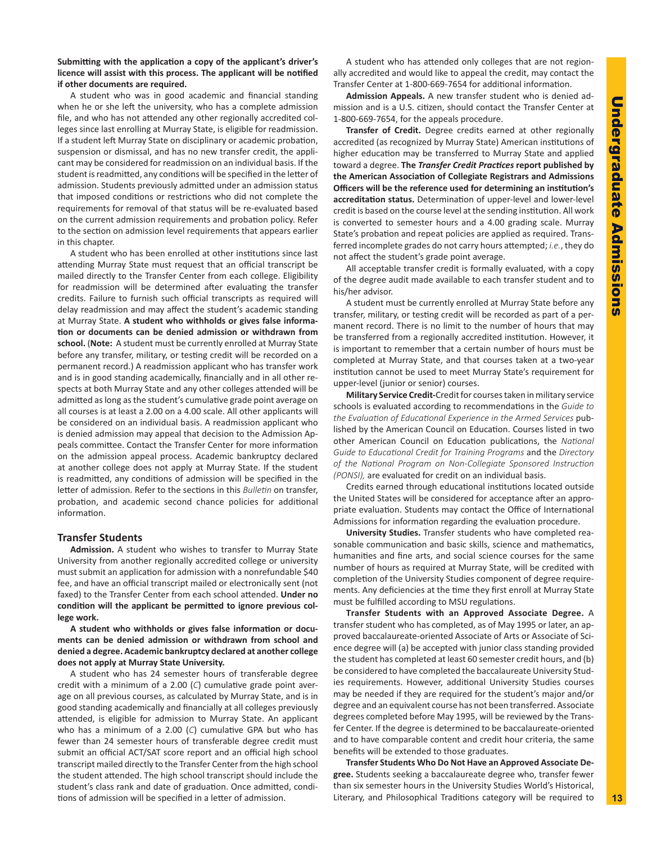#### **Submitting with the application a copy of the applicant's driver's licence will assist with this process. The applicant will be notified if other documents are required.**

A student who was in good academic and financial standing when he or she left the university, who has a complete admission file, and who has not attended any other regionally accredited colleges since last enrolling at Murray State, is eligible for readmission. If a student left Murray State on disciplinary or academic probation, suspension or dismissal, and has no new transfer credit, the applicant may be considered for readmission on an individual basis. If the student is readmitted, any conditions will be specified in the letter of admission. Students previously admitted under an admission status that imposed conditions or restrictions who did not complete the requirements for removal of that status will be re-evaluated based on the current admission requirements and probation policy. Refer to the section on admission level requirements that appears earlier in this chapter.

A student who has been enrolled at other institutions since last attending Murray State must request that an official transcript be mailed directly to the Transfer Center from each college. Eligibility for readmission will be determined after evaluating the transfer credits. Failure to furnish such official transcripts as required will delay readmission and may affect the student's academic standing at Murray State. **A student who withholds or gives false information or documents can be denied admission or withdrawn from school.** (**Note:** A student must be currently enrolled at Murray State before any transfer, military, or testing credit will be recorded on a permanent record.) A readmission applicant who has transfer work and is in good standing academically, financially and in all other respects at both Murray State and any other colleges attended will be admitted as long as the student's cumulative grade point average on all courses is at least a 2.00 on a 4.00 scale. All other applicants will be considered on an individual basis. A readmission applicant who is denied admission may appeal that decision to the Admission Appeals committee. Contact the Transfer Center for more information on the admission appeal process. Academic bankruptcy declared at another college does not apply at Murray State. If the student is readmitted, any conditions of admission will be specified in the letter of admission. Refer to the sections in this *Bulletin* on transfer, probation, and academic second chance policies for additional information.

#### **Transfer Students**

**Admission.** A student who wishes to transfer to Murray State University from another regionally accredited college or university must submit an application for admission with a nonrefundable \$40 fee, and have an official transcript mailed or electronically sent (not faxed) to the Transfer Center from each school attended. **Under no condition will the applicant be permitted to ignore previous college work.**

**A student who withholds or gives false information or documents can be denied admission or withdrawn from school and denied a degree. Academic bankruptcy declared at another college does not apply at Murray State University.**

A student who has 24 semester hours of transferable degree credit with a minimum of a 2.00 (*C*) cumulative grade point average on all previous courses, as calculated by Murray State, and is in good standing academically and financially at all colleges previously attended, is eligible for admission to Murray State. An applicant who has a minimum of a 2.00 (*C*) cumulative GPA but who has fewer than 24 semester hours of transferable degree credit must submit an official ACT/SAT score report and an official high school transcript mailed directly to the Transfer Center from the high school the student attended. The high school transcript should include the student's class rank and date of graduation. Once admitted, conditions of admission will be specified in a letter of admission.

A student who has attended only colleges that are not regionally accredited and would like to appeal the credit, may contact the Transfer Center at 1-800-669-7654 for additional information.

**Admission Appeals.** A new transfer student who is denied admission and is a U.S. citizen, should contact the Transfer Center at 1-800-669-7654, for the appeals procedure.

**Transfer of Credit.** Degree credits earned at other regionally accredited (as recognized by Murray State) American institutions of higher education may be transferred to Murray State and applied toward a degree. **The** *Transfer Credit Practices* **report published by the American Association of Collegiate Registrars and Admissions Officers will be the reference used for determining an institution's accreditation status.** Determination of upper-level and lower-level credit is based on the course level at the sending institution. All work is converted to semester hours and a 4.00 grading scale. Murray State's probation and repeat policies are applied as required. Transferred incomplete grades do not carry hours attempted; *i.e.*, they do not affect the student's grade point average.

All acceptable transfer credit is formally evaluated, with a copy of the degree audit made available to each transfer student and to his/her advisor.

A student must be currently enrolled at Murray State before any transfer, military, or testing credit will be recorded as part of a permanent record. There is no limit to the number of hours that may be transferred from a regionally accredited institution. However, it is important to remember that a certain number of hours must be completed at Murray State, and that courses taken at a two-year institution cannot be used to meet Murray State's requirement for upper-level (junior or senior) courses.

**Military Service Credit-**Credit for courses taken in military service schools is evaluated according to recommendations in the *Guide to the Evaluation of Educational Experience in the Armed Services* published by the American Council on Education. Courses listed in two other American Council on Education publications, the *National Guide to Educational Credit for Training Programs* and the *Directory of the National Program on Non-Collegiate Sponsored Instruction (PONSI),* are evaluated for credit on an individual basis.

Credits earned through educational institutions located outside the United States will be considered for acceptance after an appropriate evaluation. Students may contact the Office of International Admissions for information regarding the evaluation procedure.

**University Studies.** Transfer students who have completed reasonable communication and basic skills, science and mathematics, humanities and fine arts, and social science courses for the same number of hours as required at Murray State, will be credited with completion of the University Studies component of degree requirements. Any deficiencies at the time they first enroll at Murray State must be fulfilled according to MSU regulations.

**Transfer Students with an Approved Associate Degree.** A transfer student who has completed, as of May 1995 or later, an approved baccalaureate-oriented Associate of Arts or Associate of Science degree will (a) be accepted with junior class standing provided the student has completed at least 60 semester credit hours, and (b) be considered to have completed the baccalaureate University Studies requirements. However, additional University Studies courses may be needed if they are required for the student's major and/or degree and an equivalent course has not been transferred. Associate degrees completed before May 1995, will be reviewed by the Transfer Center. If the degree is determined to be baccalaureate-oriented and to have comparable content and credit hour criteria, the same benefits will be extended to those graduates.

**Transfer Students Who Do Not Have an Approved Associate Degree.** Students seeking a baccalaureate degree who, transfer fewer than six semester hours in the University Studies World's Historical, Literary, and Philosophical Traditions category will be required to